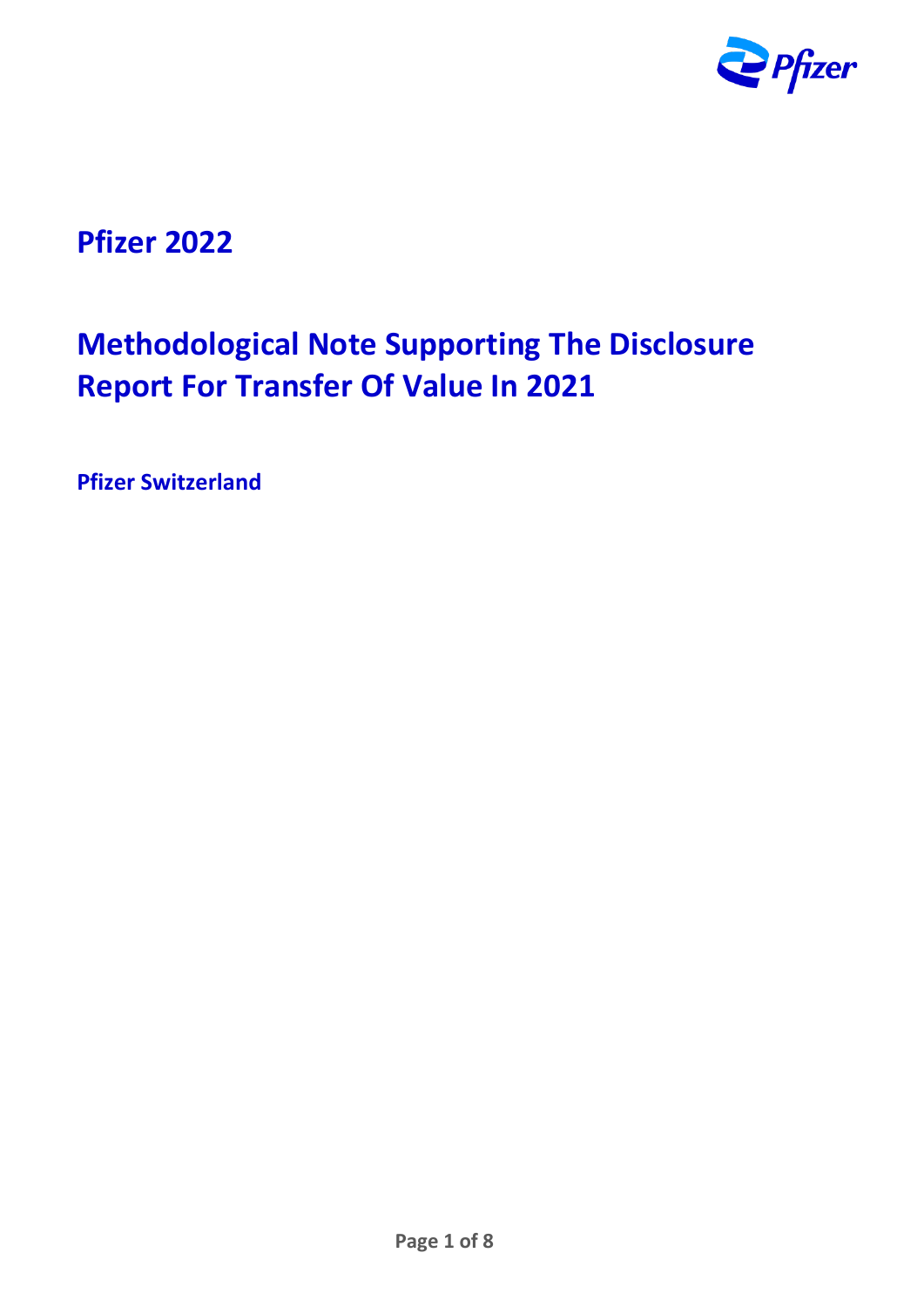

## **Pfizer 2022**

# **Methodological Note Supporting The Disclosure Report For Transfer Of Value In 2021**

**Pfizer Switzerland**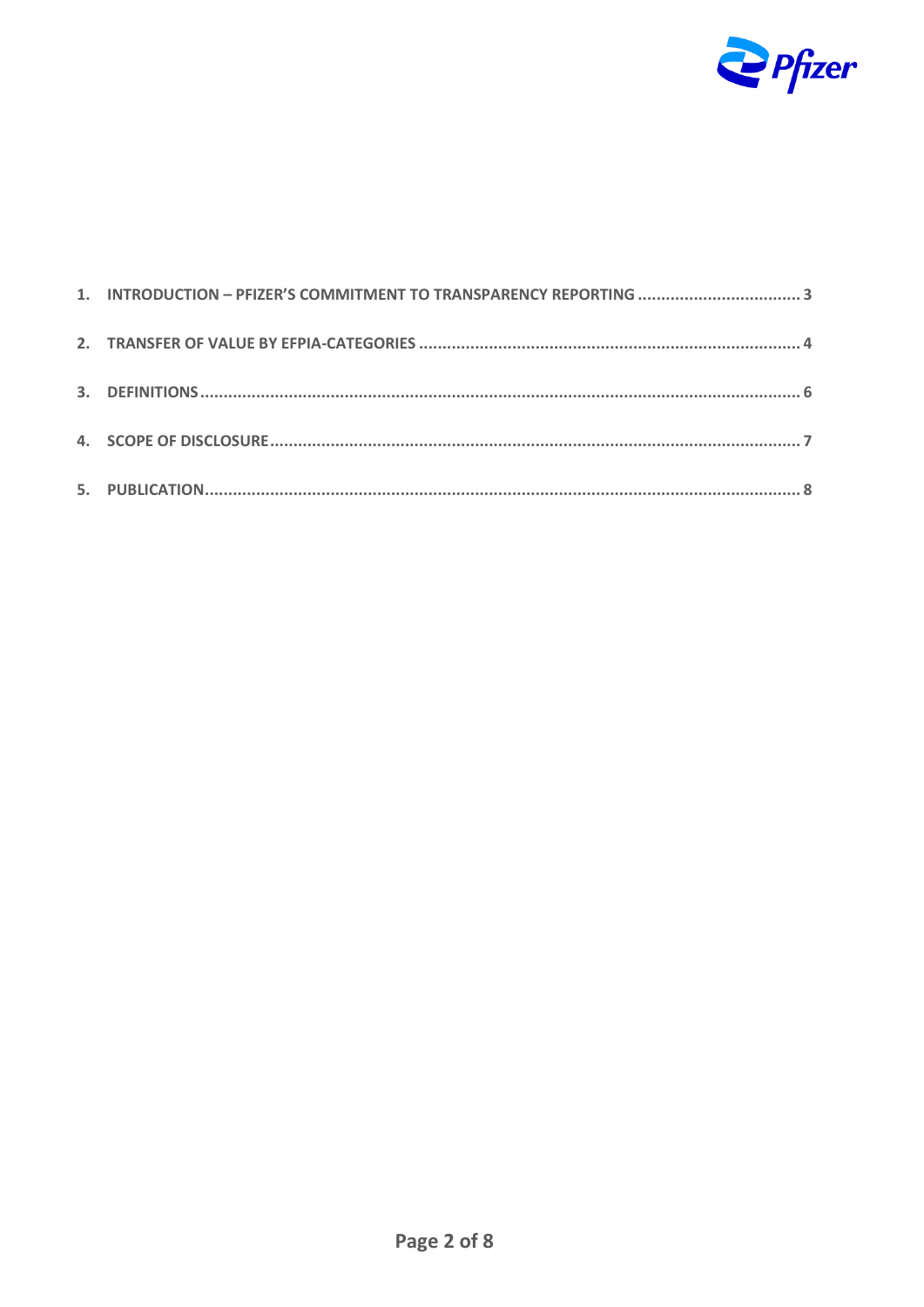

| 1. INTRODUCTION - PFIZER'S COMMITMENT TO TRANSPARENCY REPORTING 3 |  |
|-------------------------------------------------------------------|--|
|                                                                   |  |
|                                                                   |  |
|                                                                   |  |
|                                                                   |  |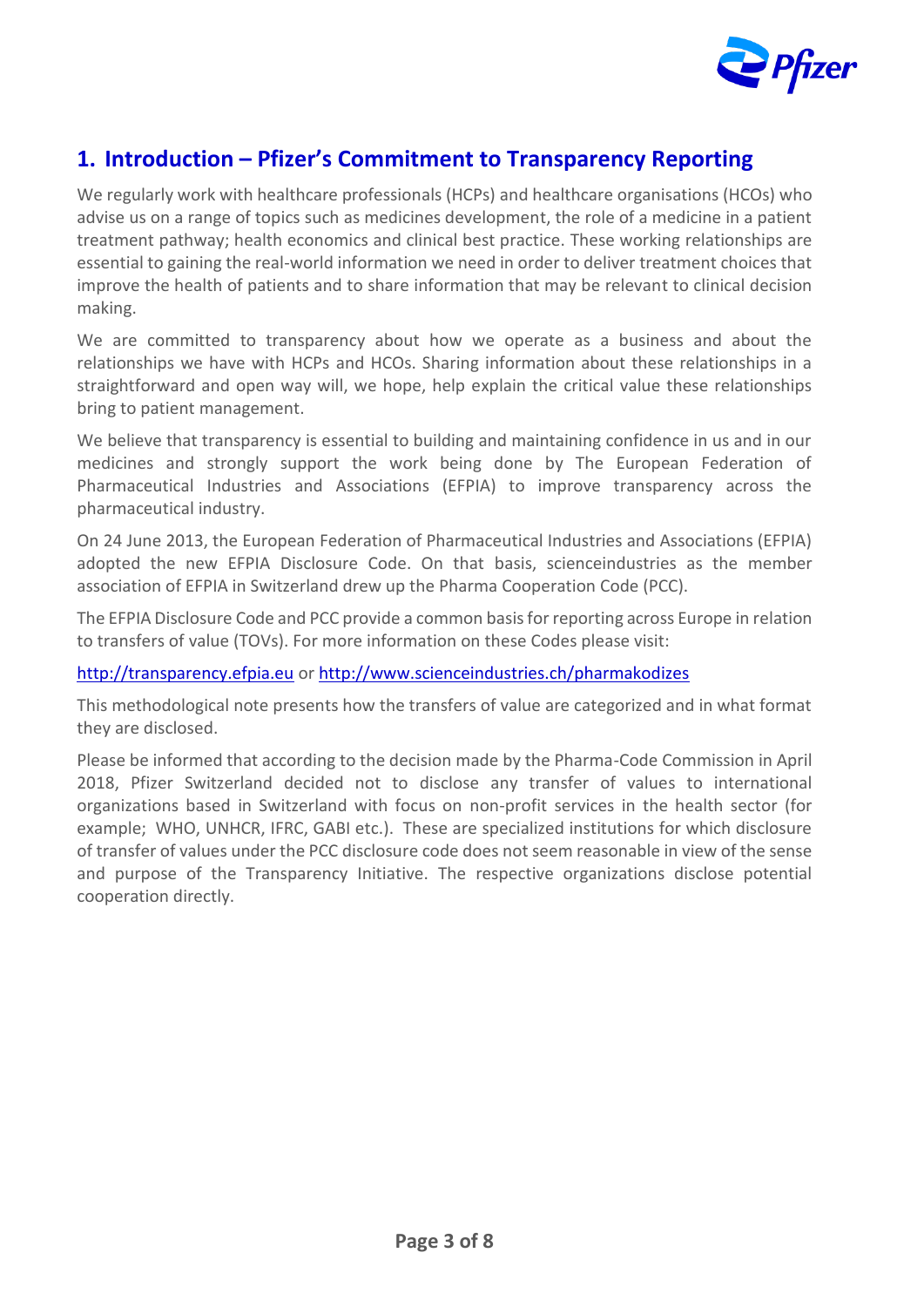

#### <span id="page-2-0"></span>**1. Introduction – Pfizer's Commitment to Transparency Reporting**

We regularly work with healthcare professionals (HCPs) and healthcare organisations (HCOs) who advise us on a range of topics such as medicines development, the role of a medicine in a patient treatment pathway; health economics and clinical best practice. These working relationships are essential to gaining the real-world information we need in order to deliver treatment choices that improve the health of patients and to share information that may be relevant to clinical decision making.

We are committed to transparency about how we operate as a business and about the relationships we have with HCPs and HCOs. Sharing information about these relationships in a straightforward and open way will, we hope, help explain the critical value these relationships bring to patient management.

We believe that transparency is essential to building and maintaining confidence in us and in our medicines and strongly support the work being done by The European Federation of Pharmaceutical Industries and Associations (EFPIA) to improve transparency across the pharmaceutical industry.

On 24 June 2013, the European Federation of Pharmaceutical Industries and Associations (EFPIA) adopted the new EFPIA Disclosure Code. On that basis, scienceindustries as the member association of EFPIA in Switzerland drew up the Pharma Cooperation Code (PCC).

The EFPIA Disclosure Code and PCC provide a common basis for reporting across Europe in relation to transfers of value (TOVs). For more information on these Codes please visit:

[http://transparency.efpia.eu](http://transparency.efpia.eu/) or <http://www.scienceindustries.ch/pharmakodizes>

This methodological note presents how the transfers of value are categorized and in what format they are disclosed.

Please be informed that according to the decision made by the Pharma-Code Commission in April 2018, Pfizer Switzerland decided not to disclose any transfer of values to international organizations based in Switzerland with focus on non-profit services in the health sector (for example; WHO, UNHCR, IFRC, GABI etc.). These are specialized institutions for which disclosure of transfer of values under the PCC disclosure code does not seem reasonable in view of the sense and purpose of the Transparency Initiative. The respective organizations disclose potential cooperation directly.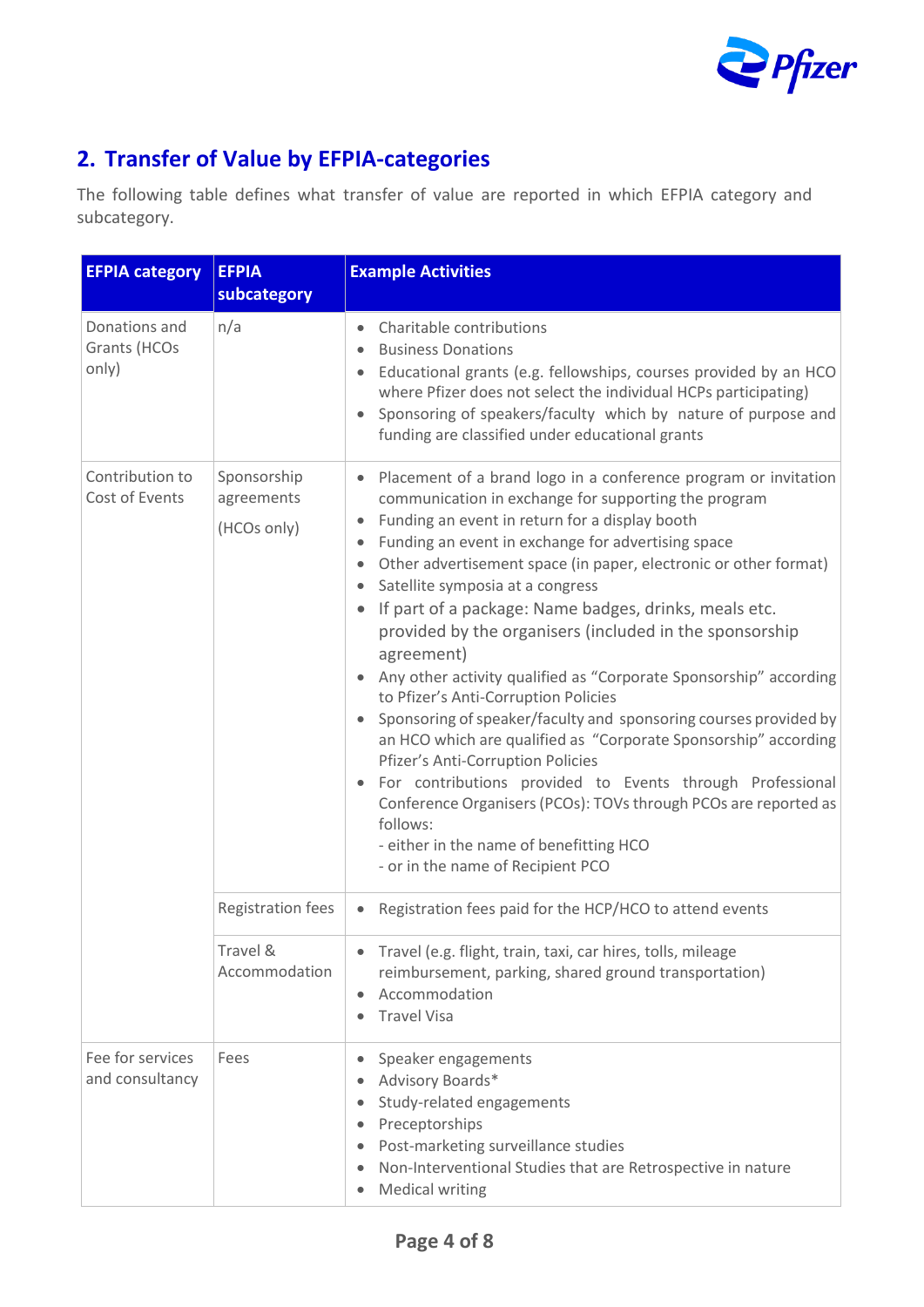

### <span id="page-3-0"></span>**2. Transfer of Value by EFPIA-categories**

The following table defines what transfer of value are reported in which EFPIA category and subcategory.

| <b>EFPIA category</b>                  | <b>EFPIA</b>                             | <b>Example Activities</b>                                                                                                                                                                                                                                                                                                                                                                                                                                                                                                                                                                                                                                                                                                                                                                                                                                                                                                                                                                                                                               |
|----------------------------------------|------------------------------------------|---------------------------------------------------------------------------------------------------------------------------------------------------------------------------------------------------------------------------------------------------------------------------------------------------------------------------------------------------------------------------------------------------------------------------------------------------------------------------------------------------------------------------------------------------------------------------------------------------------------------------------------------------------------------------------------------------------------------------------------------------------------------------------------------------------------------------------------------------------------------------------------------------------------------------------------------------------------------------------------------------------------------------------------------------------|
|                                        | subcategory                              |                                                                                                                                                                                                                                                                                                                                                                                                                                                                                                                                                                                                                                                                                                                                                                                                                                                                                                                                                                                                                                                         |
| Donations and<br>Grants (HCOs<br>only) | n/a                                      | Charitable contributions<br><b>Business Donations</b><br>$\bullet$<br>Educational grants (e.g. fellowships, courses provided by an HCO<br>$\bullet$<br>where Pfizer does not select the individual HCPs participating)<br>Sponsoring of speakers/faculty which by nature of purpose and<br>funding are classified under educational grants                                                                                                                                                                                                                                                                                                                                                                                                                                                                                                                                                                                                                                                                                                              |
| Contribution to<br>Cost of Events      | Sponsorship<br>agreements<br>(HCOs only) | Placement of a brand logo in a conference program or invitation<br>communication in exchange for supporting the program<br>Funding an event in return for a display booth<br>۰<br>Funding an event in exchange for advertising space<br>$\bullet$<br>Other advertisement space (in paper, electronic or other format)<br>$\bullet$<br>Satellite symposia at a congress<br>$\bullet$<br>If part of a package: Name badges, drinks, meals etc.<br>$\bullet$<br>provided by the organisers (included in the sponsorship<br>agreement)<br>Any other activity qualified as "Corporate Sponsorship" according<br>to Pfizer's Anti-Corruption Policies<br>Sponsoring of speaker/faculty and sponsoring courses provided by<br>an HCO which are qualified as "Corporate Sponsorship" according<br>Pfizer's Anti-Corruption Policies<br>For contributions provided to Events through Professional<br>Conference Organisers (PCOs): TOVs through PCOs are reported as<br>follows:<br>- either in the name of benefitting HCO<br>- or in the name of Recipient PCO |
|                                        | <b>Registration fees</b>                 | Registration fees paid for the HCP/HCO to attend events<br>$\bullet$                                                                                                                                                                                                                                                                                                                                                                                                                                                                                                                                                                                                                                                                                                                                                                                                                                                                                                                                                                                    |
|                                        | Travel &<br>Accommodation                | Travel (e.g. flight, train, taxi, car hires, tolls, mileage<br>reimbursement, parking, shared ground transportation)<br>Accommodation<br>$\bullet$<br><b>Travel Visa</b>                                                                                                                                                                                                                                                                                                                                                                                                                                                                                                                                                                                                                                                                                                                                                                                                                                                                                |
| Fee for services<br>and consultancy    | Fees                                     | Speaker engagements<br>$\bullet$<br>Advisory Boards*<br>$\bullet$<br>Study-related engagements<br>$\bullet$<br>Preceptorships<br>$\bullet$<br>Post-marketing surveillance studies<br>$\bullet$<br>Non-Interventional Studies that are Retrospective in nature<br>$\bullet$<br><b>Medical writing</b><br>$\bullet$                                                                                                                                                                                                                                                                                                                                                                                                                                                                                                                                                                                                                                                                                                                                       |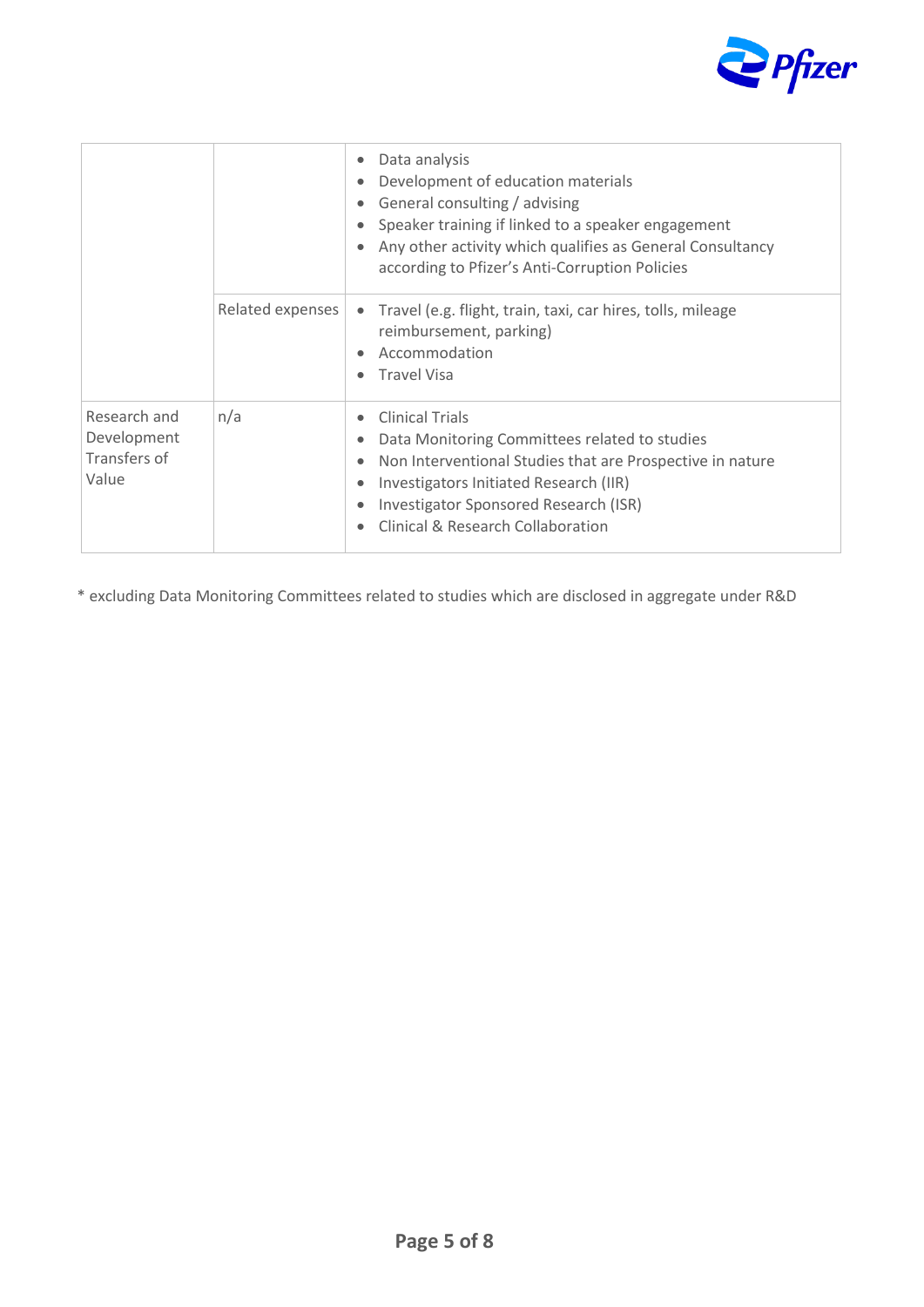

|                                                      |                  | Data analysis<br>$\bullet$<br>Development of education materials<br>$\bullet$<br>General consulting / advising<br>$\bullet$<br>Speaker training if linked to a speaker engagement<br>$\bullet$<br>Any other activity which qualifies as General Consultancy<br>$\bullet$<br>according to Pfizer's Anti-Corruption Policies                            |
|------------------------------------------------------|------------------|-------------------------------------------------------------------------------------------------------------------------------------------------------------------------------------------------------------------------------------------------------------------------------------------------------------------------------------------------------|
|                                                      | Related expenses | Travel (e.g. flight, train, taxi, car hires, tolls, mileage<br>$\bullet$<br>reimbursement, parking)<br>Accommodation<br>$\bullet$<br><b>Travel Visa</b><br>$\bullet$                                                                                                                                                                                  |
| Research and<br>Development<br>Transfers of<br>Value | n/a              | <b>Clinical Trials</b><br>$\bullet$<br>Data Monitoring Committees related to studies<br>$\bullet$<br>Non Interventional Studies that are Prospective in nature<br>$\bullet$<br>Investigators Initiated Research (IIR)<br>$\bullet$<br>Investigator Sponsored Research (ISR)<br>$\bullet$<br><b>Clinical &amp; Research Collaboration</b><br>$\bullet$ |

\* excluding Data Monitoring Committees related to studies which are disclosed in aggregate under R&D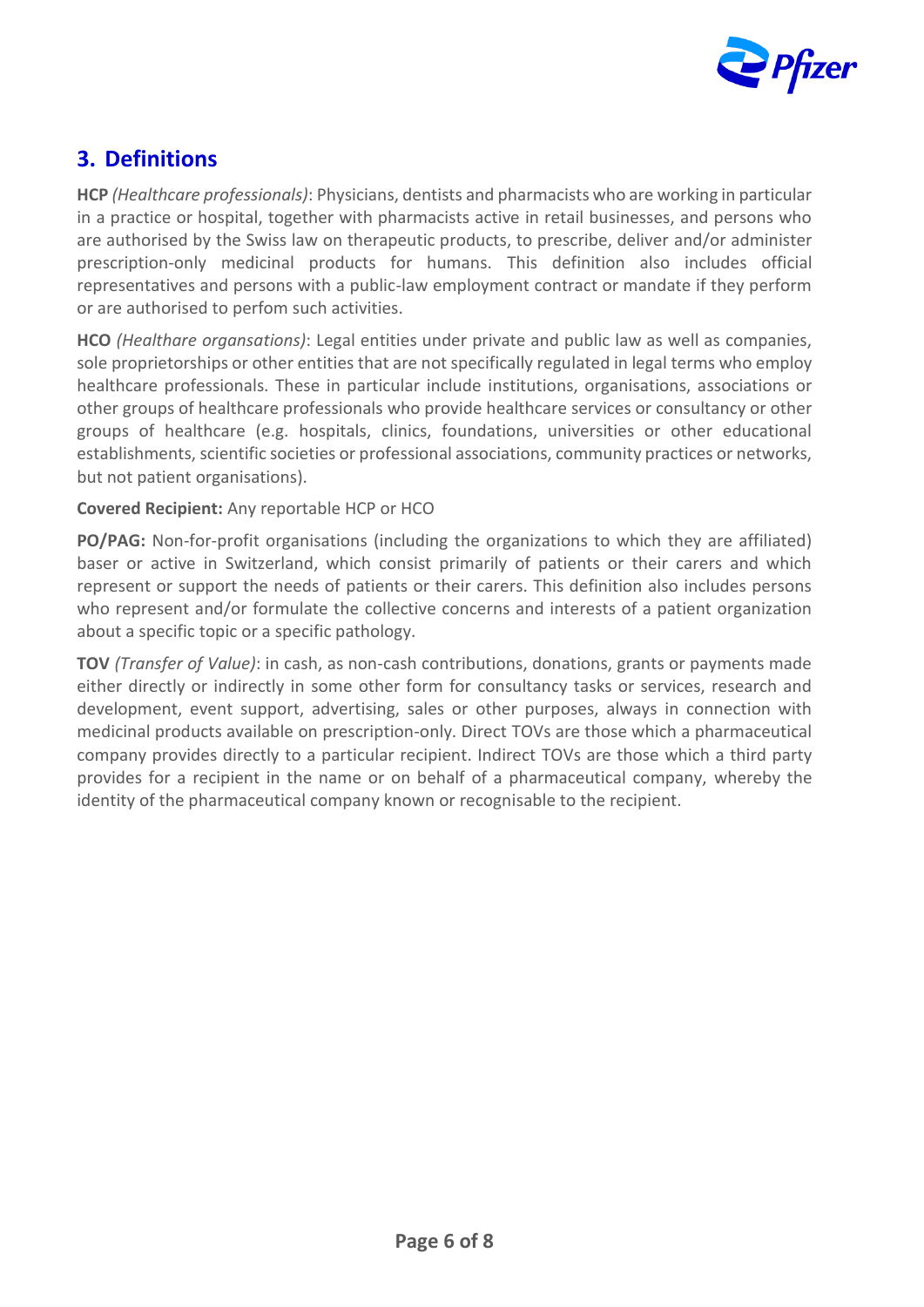

#### <span id="page-5-0"></span>**3. Definitions**

**HCP** *(Healthcare professionals)*: Physicians, dentists and pharmacists who are working in particular in a practice or hospital, together with pharmacists active in retail businesses, and persons who are authorised by the Swiss law on therapeutic products, to prescribe, deliver and/or administer prescription-only medicinal products for humans. This definition also includes official representatives and persons with a public-law employment contract or mandate if they perform or are authorised to perfom such activities.

**HCO** *(Healthare organsations)*: Legal entities under private and public law as well as companies, sole proprietorships or other entities that are not specifically regulated in legal terms who employ healthcare professionals. These in particular include institutions, organisations, associations or other groups of healthcare professionals who provide healthcare services or consultancy or other groups of healthcare (e.g. hospitals, clinics, foundations, universities or other educational establishments, scientific societies or professional associations, community practices or networks, but not patient organisations).

#### **Covered Recipient:** Any reportable HCP or HCO

**PO/PAG:** Non-for-profit organisations (including the organizations to which they are affiliated) baser or active in Switzerland, which consist primarily of patients or their carers and which represent or support the needs of patients or their carers. This definition also includes persons who represent and/or formulate the collective concerns and interests of a patient organization about a specific topic or a specific pathology.

**TOV** *(Transfer of Value)*: in cash, as non-cash contributions, donations, grants or payments made either directly or indirectly in some other form for consultancy tasks or services, research and development, event support, advertising, sales or other purposes, always in connection with medicinal products available on prescription-only. Direct TOVs are those which a pharmaceutical company provides directly to a particular recipient. Indirect TOVs are those which a third party provides for a recipient in the name or on behalf of a pharmaceutical company, whereby the identity of the pharmaceutical company known or recognisable to the recipient.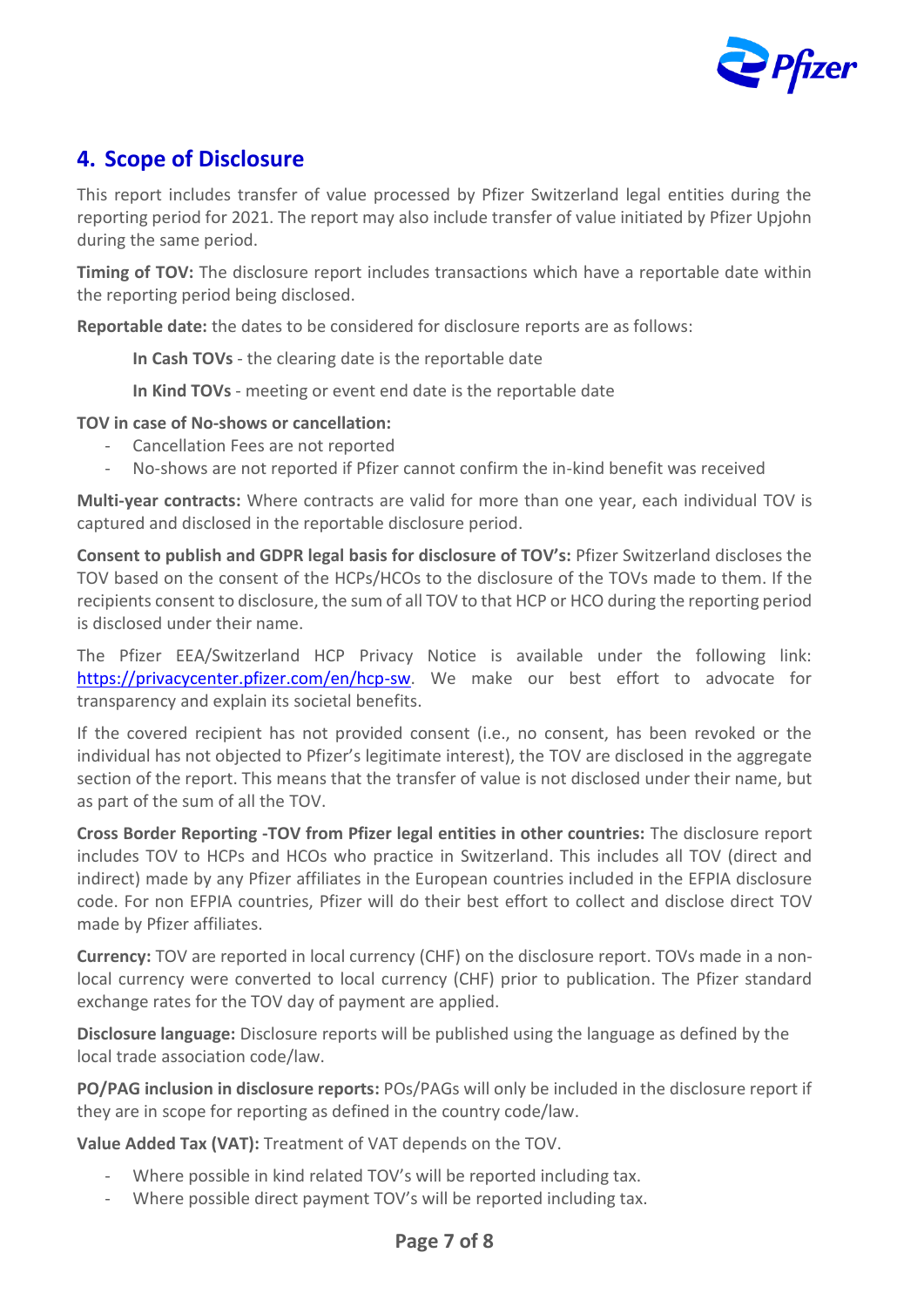

#### <span id="page-6-0"></span>**4. Scope of Disclosure**

This report includes transfer of value processed by Pfizer Switzerland legal entities during the reporting period for 2021. The report may also include transfer of value initiated by Pfizer Upjohn during the same period.

**Timing of TOV:** The disclosure report includes transactions which have a reportable date within the reporting period being disclosed.

**Reportable date:** the dates to be considered for disclosure reports are as follows:

**In Cash TOVs** - the clearing date is the reportable date

**In Kind TOVs** - meeting or event end date is the reportable date

**TOV in case of No-shows or cancellation:**

- Cancellation Fees are not reported
- No-shows are not reported if Pfizer cannot confirm the in-kind benefit was received

**Multi-year contracts:** Where contracts are valid for more than one year, each individual TOV is captured and disclosed in the reportable disclosure period.

**Consent to publish and GDPR legal basis for disclosure of TOV's:** Pfizer Switzerland discloses the TOV based on the consent of the HCPs/HCOs to the disclosure of the TOVs made to them. If the recipients consent to disclosure, the sum of all TOV to that HCP or HCO during the reporting period is disclosed under their name.

The Pfizer EEA/Switzerland HCP Privacy Notice is available under the following link: [https://privacycenter.pfizer.com/en/hcp-sw.](https://privacycenter.pfizer.com/en/hcp-sw) We make our best effort to advocate for transparency and explain its societal benefits.

If the covered recipient has not provided consent (i.e., no consent, has been revoked or the individual has not objected to Pfizer's legitimate interest), the TOV are disclosed in the aggregate section of the report. This means that the transfer of value is not disclosed under their name, but as part of the sum of all the TOV.

**Cross Border Reporting -TOV from Pfizer legal entities in other countries:** The disclosure report includes TOV to HCPs and HCOs who practice in Switzerland. This includes all TOV (direct and indirect) made by any Pfizer affiliates in the European countries included in the EFPIA disclosure code. For non EFPIA countries, Pfizer will do their best effort to collect and disclose direct TOV made by Pfizer affiliates.

**Currency:** TOV are reported in local currency (CHF) on the disclosure report. TOVs made in a nonlocal currency were converted to local currency (CHF) prior to publication. The Pfizer standard exchange rates for the TOV day of payment are applied.

**Disclosure language:** Disclosure reports will be published using the language as defined by the local trade association code/law.

**PO/PAG inclusion in disclosure reports:** POs/PAGs will only be included in the disclosure report if they are in scope for reporting as defined in the country code/law.

**Value Added Tax (VAT):** Treatment of VAT depends on the TOV.

- Where possible in kind related TOV's will be reported including tax.
- Where possible direct payment TOV's will be reported including tax.